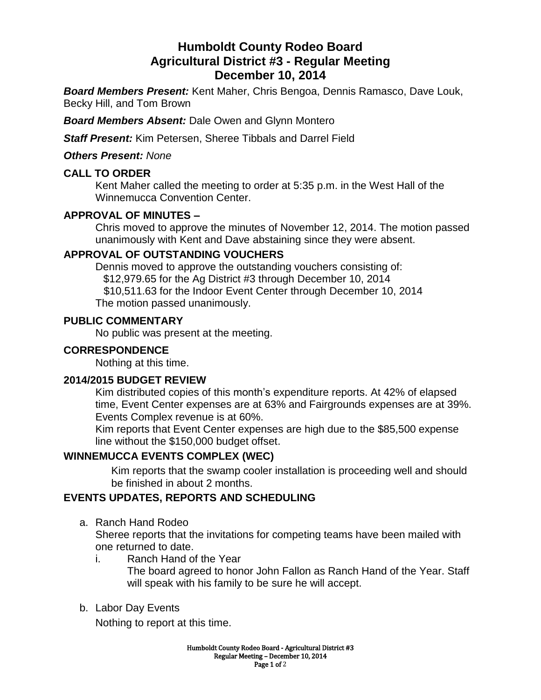# **Humboldt County Rodeo Board Agricultural District #3 - Regular Meeting December 10, 2014**

*Board Members Present:* Kent Maher, Chris Bengoa, Dennis Ramasco, Dave Louk, Becky Hill, and Tom Brown

*Board Members Absent:* Dale Owen and Glynn Montero

*Staff Present:* Kim Petersen, Sheree Tibbals and Darrel Field

*Others Present: None*

### **CALL TO ORDER**

Kent Maher called the meeting to order at 5:35 p.m. in the West Hall of the Winnemucca Convention Center.

# **APPROVAL OF MINUTES –**

Chris moved to approve the minutes of November 12, 2014. The motion passed unanimously with Kent and Dave abstaining since they were absent.

### **APPROVAL OF OUTSTANDING VOUCHERS**

Dennis moved to approve the outstanding vouchers consisting of: \$12,979.65 for the Ag District #3 through December 10, 2014

\$10,511.63 for the Indoor Event Center through December 10, 2014

The motion passed unanimously.

### **PUBLIC COMMENTARY**

No public was present at the meeting.

# **CORRESPONDENCE**

Nothing at this time.

### **2014/2015 BUDGET REVIEW**

Kim distributed copies of this month's expenditure reports. At 42% of elapsed time, Event Center expenses are at 63% and Fairgrounds expenses are at 39%. Events Complex revenue is at 60%.

Kim reports that Event Center expenses are high due to the \$85,500 expense line without the \$150,000 budget offset.

# **WINNEMUCCA EVENTS COMPLEX (WEC)**

Kim reports that the swamp cooler installation is proceeding well and should be finished in about 2 months.

### **EVENTS UPDATES, REPORTS AND SCHEDULING**

a. Ranch Hand Rodeo

Sheree reports that the invitations for competing teams have been mailed with one returned to date.

i. Ranch Hand of the Year

The board agreed to honor John Fallon as Ranch Hand of the Year. Staff will speak with his family to be sure he will accept.

b. Labor Day Events

Nothing to report at this time.